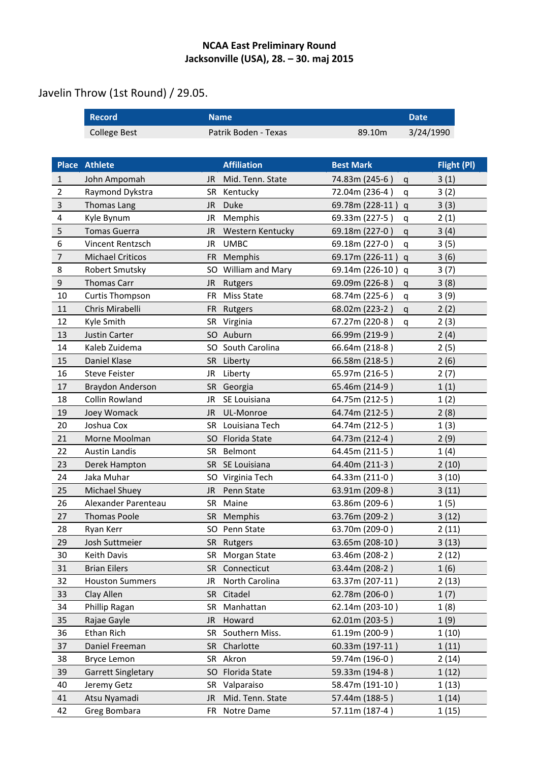## **NCAA East Preliminary Round Jacksonville (USA), 28. – 30. maj 2015**

## Javelin Throw (1st Round) / 29.05.

|                | <b>Record</b>             | <b>Name</b>                    |  |                   | <b>Date</b>         |             |
|----------------|---------------------------|--------------------------------|--|-------------------|---------------------|-------------|
|                | <b>College Best</b>       | Patrik Boden - Texas           |  | 89.10m            | 3/24/1990           |             |
|                |                           |                                |  |                   |                     |             |
|                | <b>Place Athlete</b>      | <b>Affiliation</b>             |  | <b>Best Mark</b>  |                     | Flight (PI) |
| 1              | John Ampomah              | Mid. Tenn. State<br>JR         |  | 74.83m (245-6)    | 3(1)<br>q           |             |
| 2              | Raymond Dykstra           | <b>SR</b><br>Kentucky          |  | 72.04m (236-4)    | 3(2)<br>$\mathbf q$ |             |
| $\mathbf{3}$   | <b>Thomas Lang</b>        | <b>Duke</b><br>JR.             |  | 69.78m (228-11)   | 3(3)<br>q           |             |
| 4              | Kyle Bynum                | Memphis<br>JR                  |  | 69.33m (227-5)    | 2(1)<br>q           |             |
| 5              | <b>Tomas Guerra</b>       | Western Kentucky<br><b>JR</b>  |  | 69.18m (227-0)    | 3(4)<br>$\alpha$    |             |
| 6              | Vincent Rentzsch          | <b>UMBC</b><br>JR.             |  | 69.18m (227-0)    | 3(5)<br>q           |             |
| $\overline{7}$ | <b>Michael Criticos</b>   | Memphis<br><b>FR</b>           |  | 69.17m (226-11) q | 3(6)                |             |
| 8              | Robert Smutsky            | SO<br>William and Mary         |  | 69.14m (226-10)   | 3(7)<br>q           |             |
| $9\,$          | <b>Thomas Carr</b>        | <b>JR</b><br>Rutgers           |  | 69.09m (226-8)    | 3(8)<br>q           |             |
| 10             | <b>Curtis Thompson</b>    | <b>Miss State</b><br><b>FR</b> |  | 68.74m (225-6)    | 3(9)<br>q           |             |
| 11             | Chris Mirabelli           | FR.<br>Rutgers                 |  | 68.02m (223-2)    | 2(2)<br>q           |             |
| 12             | Kyle Smith                | Virginia<br><b>SR</b>          |  | 67.27m (220-8)    | 2(3)<br>q           |             |
| 13             | Justin Carter             | SO Auburn                      |  | 66.99m (219-9)    | 2(4)                |             |
| 14             | Kaleb Zuidema             | South Carolina<br>SO           |  | 66.64m (218-8)    | 2(5)                |             |
| 15             | Daniel Klase              | SR Liberty                     |  | 66.58m (218-5)    | 2(6)                |             |
| 16             | <b>Steve Feister</b>      | Liberty<br>JR                  |  | 65.97m (216-5)    | 2(7)                |             |
| 17             | Braydon Anderson          | Georgia<br><b>SR</b>           |  | 65.46m (214-9)    | 1(1)                |             |
| 18             | Collin Rowland            | <b>JR</b><br>SE Louisiana      |  | 64.75m (212-5)    | 1(2)                |             |
| 19             | Joey Womack               | UL-Monroe<br><b>JR</b>         |  | 64.74m (212-5)    | 2(8)                |             |
| 20             | Joshua Cox                | Louisiana Tech<br><b>SR</b>    |  | 64.74m (212-5)    | 1(3)                |             |
| 21             | Morne Moolman             | Florida State<br>SO.           |  | 64.73m (212-4)    | 2(9)                |             |
| 22             | <b>Austin Landis</b>      | Belmont<br><b>SR</b>           |  | 64.45m (211-5)    | 1(4)                |             |
| 23             | Derek Hampton             | SE Louisiana<br><b>SR</b>      |  | 64.40m (211-3)    | 2(10)               |             |
| 24             | Jaka Muhar                | SO.<br>Virginia Tech           |  | 64.33m (211-0)    | 3(10)               |             |
| 25             | Michael Shuey             | Penn State<br>JR.              |  | 63.91m (209-8)    | 3(11)               |             |
| 26             | Alexander Parenteau       | Maine<br><b>SR</b>             |  | 63.86m (209-6)    | 1(5)                |             |
| 27             | <b>Thomas Poole</b>       | Memphis<br><b>SR</b>           |  | 63.76m (209-2)    | 3(12)               |             |
| 28             | Ryan Kerr                 | SO.<br>Penn State              |  | 63.70m (209-0)    | 2(11)               |             |
| 29             | Josh Suttmeier            | <b>SR</b><br>Rutgers           |  | 63.65m (208-10)   | 3(13)               |             |
| 30             | Keith Davis               | <b>SR</b><br>Morgan State      |  | 63.46m (208-2)    | 2(12)               |             |
| 31             | <b>Brian Eilers</b>       | <b>SR</b><br>Connecticut       |  | 63.44m (208-2)    | 1(6)                |             |
| 32             | <b>Houston Summers</b>    | North Carolina<br>JR           |  | 63.37m (207-11)   | 2(13)               |             |
| 33             | Clay Allen                | Citadel<br><b>SR</b>           |  | 62.78m (206-0)    | 1(7)                |             |
| 34             | Phillip Ragan             | Manhattan<br><b>SR</b>         |  | 62.14m (203-10)   | 1(8)                |             |
| 35             | Rajae Gayle               | Howard<br><b>JR</b>            |  | 62.01m (203-5)    | 1(9)                |             |
| 36             | Ethan Rich                | Southern Miss.<br><b>SR</b>    |  | 61.19m (200-9)    | 1(10)               |             |
| 37             | Daniel Freeman            | Charlotte<br><b>SR</b>         |  | 60.33m (197-11)   | 1(11)               |             |
| 38             | <b>Bryce Lemon</b>        | Akron<br><b>SR</b>             |  | 59.74m (196-0)    | 2(14)               |             |
| 39             | <b>Garrett Singletary</b> | Florida State<br>SO.           |  | 59.33m (194-8)    | 1(12)               |             |
| 40             | Jeremy Getz               | <b>SR</b><br>Valparaiso        |  | 58.47m (191-10)   | 1(13)               |             |
| 41             | Atsu Nyamadi              | Mid. Tenn. State<br>JR         |  | 57.44m (188-5)    | 1(14)               |             |
| 42             | Greg Bombara              | Notre Dame<br>FR.              |  | 57.11m (187-4)    | 1(15)               |             |